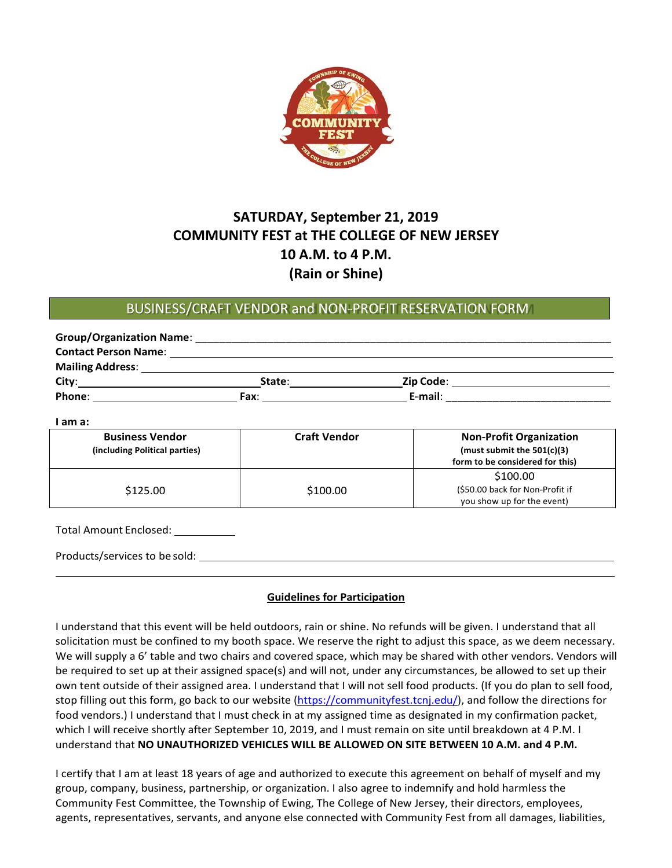

## **SATURDAY, September 21, 2019 COMMUNITY FEST at THE COLLEGE OF NEW JERSEY 10 A.M. to 4 P.M. (Rain or Shine)**

## BUSINESS/CRAFT VENDOR and NON-PROFIT RESERVATION FORM

| <b>Group/Organization Name:</b> |        |           |  |
|---------------------------------|--------|-----------|--|
| <b>Contact Person Name:</b>     |        |           |  |
| <b>Mailing Address:</b>         |        |           |  |
| City:                           | State: | Zip Code: |  |
| Phone:                          | Fax:   | E-mail:   |  |

| <b>Business Vendor</b><br>(including Political parties) | <b>Craft Vendor</b> | <b>Non-Profit Organization</b><br>(must submit the $501(c)(3)$ )<br>form to be considered for this) |
|---------------------------------------------------------|---------------------|-----------------------------------------------------------------------------------------------------|
| \$125.00                                                | \$100.00            | \$100.00<br>(\$50.00 back for Non-Profit if<br>you show up for the event)                           |

Total Amount Enclosed:

**I am a:**

Products/services to be sold:

## **Guidelines for Participation**

I understand that this event will be held outdoors, rain or shine. No refunds will be given. I understand that all solicitation must be confined to my booth space. We reserve the right to adjust this space, as we deem necessary. We will supply a 6' table and two chairs and covered space, which may be shared with other vendors. Vendors will be required to set up at their assigned space(s) and will not, under any circumstances, be allowed to set up their own tent outside of their assigned area. I understand that I will not sell food products. (If you do plan to sell food, stop filling out this form, go back to our website [\(https://communityfest.tcnj.edu/\), a](http://www.tcnj.edu/comfest))nd follow the directions for food vendors.) I understand that I must check in at my assigned time as designated in my confirmation packet, which I will receive shortly after September 10, 2019, and I must remain on site until breakdown at 4 P.M. I understand that **NO UNAUTHORIZED VEHICLES WILL BE ALLOWED ON SITE BETWEEN 10 A.M. and 4 P.M.**

I certify that I am at least 18 years of age and authorized to execute this agreement on behalf of myself and my group, company, business, partnership, or organization. I also agree to indemnify and hold harmless the Community Fest Committee, the Township of Ewing, The College of New Jersey, their directors, employees, agents, representatives, servants, and anyone else connected with Community Fest from all damages, liabilities,